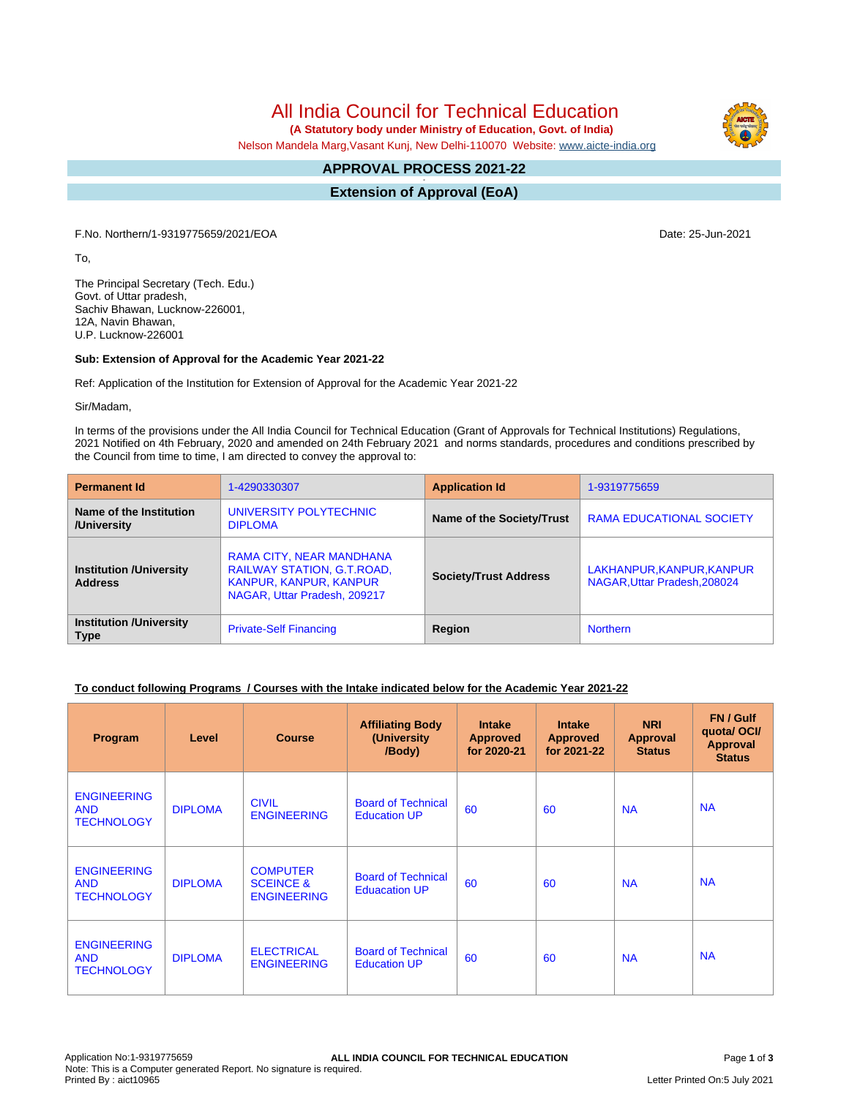All India Council for Technical Education

 **(A Statutory body under Ministry of Education, Govt. of India)**

Nelson Mandela Marg,Vasant Kunj, New Delhi-110070 Website: [www.aicte-india.org](http://www.aicte-india.org)

#### **APPROVAL PROCESS 2021-22 -**

**Extension of Approval (EoA)**

F.No. Northern/1-9319775659/2021/EOA Date: 25-Jun-2021

To,

The Principal Secretary (Tech. Edu.) Govt. of Uttar pradesh, Sachiv Bhawan, Lucknow-226001, 12A, Navin Bhawan, U.P. Lucknow-226001

## **Sub: Extension of Approval for the Academic Year 2021-22**

Ref: Application of the Institution for Extension of Approval for the Academic Year 2021-22

Sir/Madam,

In terms of the provisions under the All India Council for Technical Education (Grant of Approvals for Technical Institutions) Regulations, 2021 Notified on 4th February, 2020 and amended on 24th February 2021 and norms standards, procedures and conditions prescribed by the Council from time to time, I am directed to convey the approval to:

| <b>Permanent Id</b>                              | 1-4290330307                                                                                                     | <b>Application Id</b>        | 1-9319775659                                              |  |
|--------------------------------------------------|------------------------------------------------------------------------------------------------------------------|------------------------------|-----------------------------------------------------------|--|
| Name of the Institution<br>/University           | UNIVERSITY POLYTECHNIC<br><b>DIPLOMA</b>                                                                         | Name of the Society/Trust    | <b>RAMA EDUCATIONAL SOCIETY</b>                           |  |
| <b>Institution /University</b><br><b>Address</b> | RAMA CITY, NEAR MANDHANA<br>RAILWAY STATION, G.T.ROAD,<br>KANPUR, KANPUR, KANPUR<br>NAGAR, Uttar Pradesh, 209217 | <b>Society/Trust Address</b> | LAKHANPUR, KANPUR, KANPUR<br>NAGAR, Uttar Pradesh, 208024 |  |
| <b>Institution /University</b><br><b>Type</b>    | <b>Private-Self Financing</b>                                                                                    | Region                       | <b>Northern</b>                                           |  |

## **To conduct following Programs / Courses with the Intake indicated below for the Academic Year 2021-22**

| Program                                               | Level          | <b>Course</b>                                                 | <b>Affiliating Body</b><br>(University<br>/Body)  | <b>Intake</b><br><b>Approved</b><br>for 2020-21 | <b>Intake</b><br><b>Approved</b><br>for 2021-22 | <b>NRI</b><br><b>Approval</b><br><b>Status</b> | FN / Gulf<br>quota/ OCI/<br><b>Approval</b><br><b>Status</b> |
|-------------------------------------------------------|----------------|---------------------------------------------------------------|---------------------------------------------------|-------------------------------------------------|-------------------------------------------------|------------------------------------------------|--------------------------------------------------------------|
| <b>ENGINEERING</b><br><b>AND</b><br><b>TECHNOLOGY</b> | <b>DIPLOMA</b> | <b>CIVIL</b><br><b>ENGINEERING</b>                            | <b>Board of Technical</b><br><b>Education UP</b>  | 60                                              | 60                                              | <b>NA</b>                                      | <b>NA</b>                                                    |
| <b>ENGINEERING</b><br><b>AND</b><br><b>TECHNOLOGY</b> | <b>DIPLOMA</b> | <b>COMPUTER</b><br><b>SCEINCE &amp;</b><br><b>ENGINEERING</b> | <b>Board of Technical</b><br><b>Eduacation UP</b> | 60                                              | 60                                              | <b>NA</b>                                      | <b>NA</b>                                                    |
| <b>ENGINEERING</b><br><b>AND</b><br><b>TECHNOLOGY</b> | <b>DIPLOMA</b> | <b>ELECTRICAL</b><br><b>ENGINEERING</b>                       | <b>Board of Technical</b><br><b>Education UP</b>  | 60                                              | 60                                              | <b>NA</b>                                      | <b>NA</b>                                                    |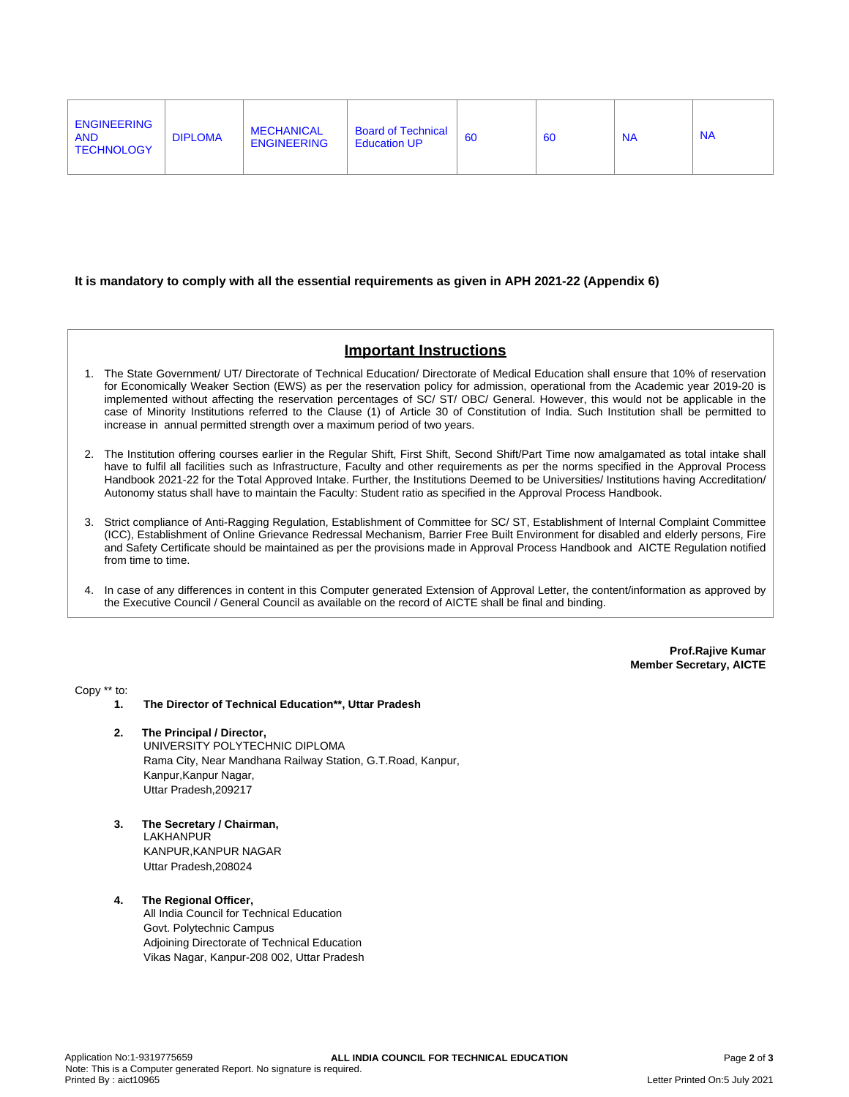| <b>ENGINEERING</b><br><b>AND</b><br><b>TECHNOLOGY</b> | <b>DIPLOMA</b> | <b>MECHANICAL</b><br><b>ENGINEERING</b> | <b>Board of Technical</b><br><b>Education UP</b> | 60 | 60 | <b>NA</b> | <b>NA</b> |
|-------------------------------------------------------|----------------|-----------------------------------------|--------------------------------------------------|----|----|-----------|-----------|
|-------------------------------------------------------|----------------|-----------------------------------------|--------------------------------------------------|----|----|-----------|-----------|

### **It is mandatory to comply with all the essential requirements as given in APH 2021-22 (Appendix 6)**

# **Important Instructions**

- 1. The State Government/ UT/ Directorate of Technical Education/ Directorate of Medical Education shall ensure that 10% of reservation for Economically Weaker Section (EWS) as per the reservation policy for admission, operational from the Academic year 2019-20 is implemented without affecting the reservation percentages of SC/ ST/ OBC/ General. However, this would not be applicable in the case of Minority Institutions referred to the Clause (1) of Article 30 of Constitution of India. Such Institution shall be permitted to increase in annual permitted strength over a maximum period of two years.
- 2. The Institution offering courses earlier in the Regular Shift, First Shift, Second Shift/Part Time now amalgamated as total intake shall have to fulfil all facilities such as Infrastructure, Faculty and other requirements as per the norms specified in the Approval Process Handbook 2021-22 for the Total Approved Intake. Further, the Institutions Deemed to be Universities/ Institutions having Accreditation/ Autonomy status shall have to maintain the Faculty: Student ratio as specified in the Approval Process Handbook.
- 3. Strict compliance of Anti-Ragging Regulation, Establishment of Committee for SC/ ST, Establishment of Internal Complaint Committee (ICC), Establishment of Online Grievance Redressal Mechanism, Barrier Free Built Environment for disabled and elderly persons, Fire and Safety Certificate should be maintained as per the provisions made in Approval Process Handbook and AICTE Regulation notified from time to time.
- 4. In case of any differences in content in this Computer generated Extension of Approval Letter, the content/information as approved by the Executive Council / General Council as available on the record of AICTE shall be final and binding.

**Prof.Rajive Kumar Member Secretary, AICTE**

Copy \*\* to:

- **1. The Director of Technical Education\*\*, Uttar Pradesh**
- **2. The Principal / Director,** UNIVERSITY POLYTECHNIC DIPLOMA Rama City, Near Mandhana Railway Station, G.T.Road, Kanpur, Kanpur,Kanpur Nagar, Uttar Pradesh,209217
- **3. The Secretary / Chairman,** LAKHANPUR KANPUR,KANPUR NAGAR Uttar Pradesh,208024
- **4. The Regional Officer,** All India Council for Technical Education Govt. Polytechnic Campus Adjoining Directorate of Technical Education Vikas Nagar, Kanpur-208 002, Uttar Pradesh